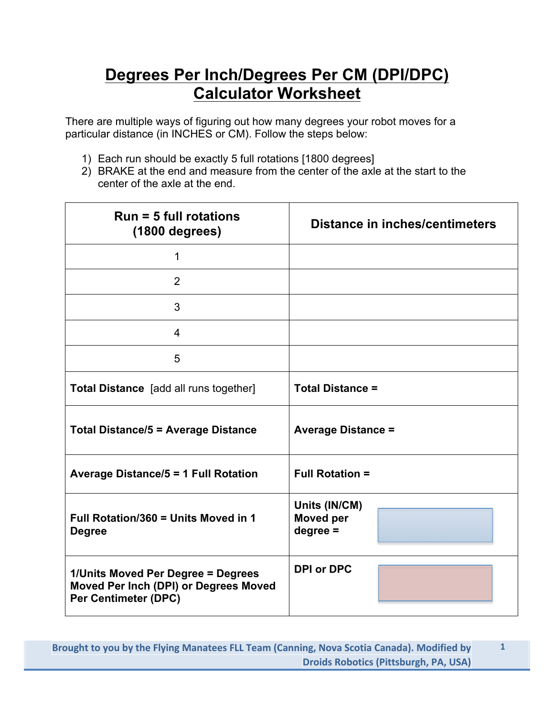## **Degrees Per Inch/Degrees Per CM (DPI/DPC) Calculator Worksheet**

There are multiple ways of figuring out how many degrees your robot moves for a particular distance (in INCHES or CM). Follow the steps below:

- 1) Each run should be exactly 5 full rotations [1800 degrees]
- 2) BRAKE at the end and measure from the center of the axle at the start to the center of the axle at the end.

| $Run = 5$ full rotations<br>$(1800$ degrees)                                                               | <b>Distance in inches/centimeters</b>           |
|------------------------------------------------------------------------------------------------------------|-------------------------------------------------|
| 1                                                                                                          |                                                 |
| $\overline{2}$                                                                                             |                                                 |
| 3                                                                                                          |                                                 |
| $\overline{4}$                                                                                             |                                                 |
| 5                                                                                                          |                                                 |
| <b>Total Distance</b> [add all runs together]                                                              | <b>Total Distance =</b>                         |
| <b>Total Distance/5 = Average Distance</b>                                                                 | <b>Average Distance =</b>                       |
| <b>Average Distance/5 = 1 Full Rotation</b>                                                                | <b>Full Rotation =</b>                          |
| Full Rotation/360 = Units Moved in 1<br><b>Degree</b>                                                      | Units (IN/CM)<br><b>Moved per</b><br>$degree =$ |
| 1/Units Moved Per Degree = Degrees<br>Moved Per Inch (DPI) or Degrees Moved<br><b>Per Centimeter (DPC)</b> | <b>DPI or DPC</b>                               |

**1**